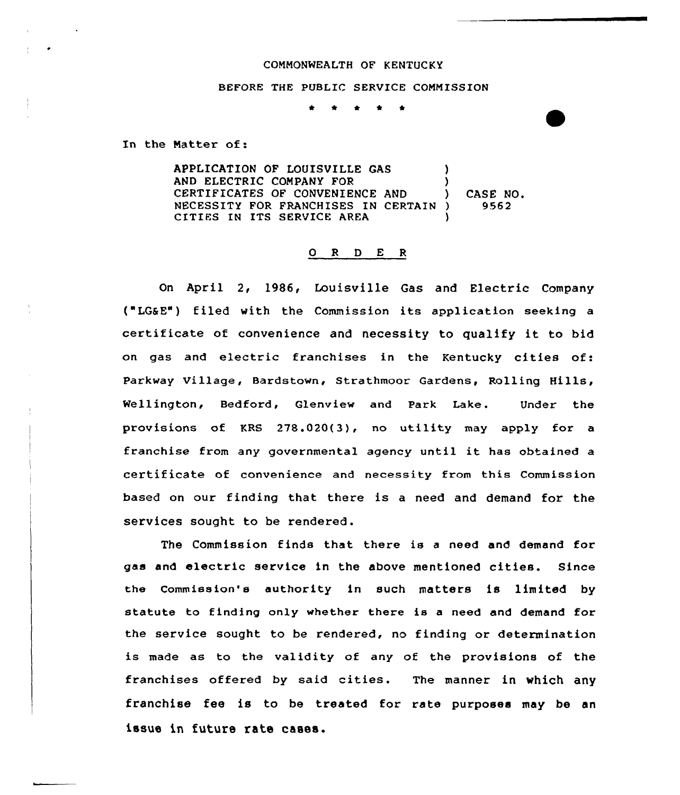## COMMONWEALTH OF KENTUCKY

## BEFORE THE PUBLIC SERVICE COMMISSION

\* \* \* \* \*

In the Matter of:

APPLICATION OF LOUISVILLE GAS (and electric company for  $\qquad \qquad$ ) AND ELECTRIC COMPANY FOR (3) CERTIFICATES OF CONVENIENCE AND ) NECESSITY FOR FRANCHISES IN CERTAIN ) CITIES IN ITS SERVICE AREA CASE NO. 9562

## O R D E R

On April 2, 1986, Louisville Gas and Electric Company ("LG&E") filed with the Commission its application seeking <sup>a</sup> certificate of convenience and necessity to qualify it to bid on gas and electric franchises in the Kentucky cities of: Parkway Village, Bardstown, Strathmoor Gardens, Rolling Hills, Wellington, Bedford, Glenview and Park Lake. Under the provisions of KRS  $278.020(3)$ , no utility may apply for a franchise from any governmental agency until it has obtained <sup>a</sup> certificate of convenience and necessity from this Commission based on our finding that there is a need and demand for the services sought to be rendered.

The Commission finds that there is <sup>a</sup> need and demand for gas and electric service in the above mentioned cities. Since the commission's authority in such matters is limited by statute to finding only whether there is a need and demand for the service sought to be rendered, no finding or determination is made as to the validity of any of the provisions of the franchises offered by said cities. The manner in which any franchise fee is to be treated for rate purposes may be an issue in future rate cases.